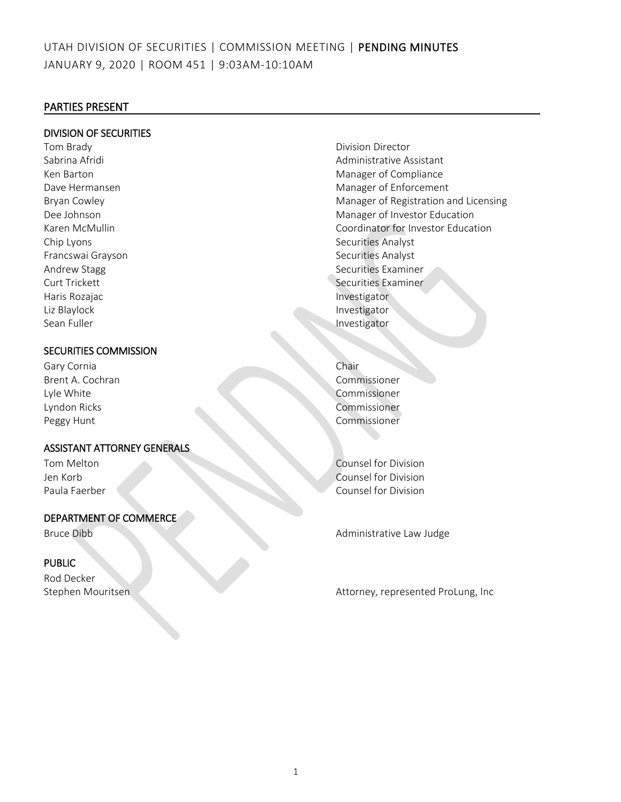#### PARTIES PRESENT

#### DIVISION OF SECURITIES

Tom Brady **Division Director Division Director** Chip Lyons Securities Analyst Francswai Grayson Securities Analyst Haris Rozajac **Investigator** Investigator Liz Blaylock and the control of the control of the control of the control of the control of the control of the control of the control of the control of the control of the control of the control of the control of the contro Sean Fuller **Investigator** Investigator

## SECURITIES COMMISSION

Gary Cornia Chair Brent A. Cochran Commissioner Lyle White Commissioner Lyndon Ricks Commissioner Peggy Hunt Commissioner

## ASSISTANT ATTORNEY GENERALS

### DEPARTMENT OF COMMERCE

## PUBLIC

Rod Decker

- Sabrina Afridi **Administrative Assistant** Administrative Assistant Ken Barton Manager of Compliance Dave Hermansen Manager of Enforcement Bryan Cowley **Manager of Registration and Licensing** Dee Johnson Manager of Investor Education Karen McMullin **Coordinator For Investor Education** Andrew Stagg Securities Examiner Curt Trickett **Securities** Examiner
	-

Tom Melton Counsel for Division Jen Korb Counsel for Division Paula Faerber Counsel for Division

Bruce Dibb Administrative Law Judge

Stephen Mouritsen Attorney, represented ProLung, Inc.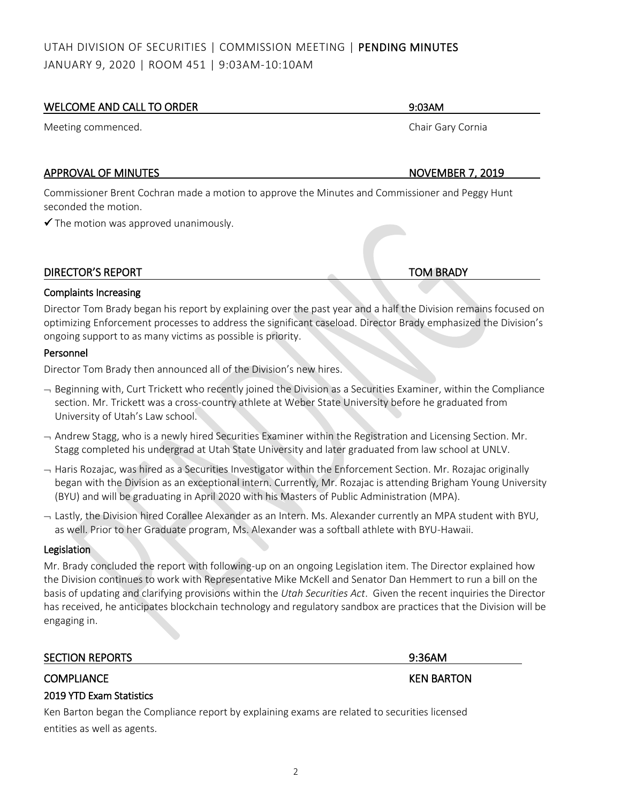| WELCOME AND CALL TO ORDER                                                                                                                                                                                                         | 9:03AM                  |
|-----------------------------------------------------------------------------------------------------------------------------------------------------------------------------------------------------------------------------------|-------------------------|
| Meeting commenced.                                                                                                                                                                                                                | Chair Gary Cornia       |
|                                                                                                                                                                                                                                   |                         |
| <b>APPROVAL OF MINUTES</b>                                                                                                                                                                                                        | <b>NOVEMBER 7, 2019</b> |
| Commissioner Brent Cochran made a motion to approve the Minutes and Commissioner and Peggy Hunt<br>seconded the motion.                                                                                                           |                         |
| $\checkmark$ The motion was approved unanimously.                                                                                                                                                                                 |                         |
|                                                                                                                                                                                                                                   |                         |
| <b>DIRECTOR'S REPORT</b>                                                                                                                                                                                                          | <b>TOM BRADY</b>        |
| <b>Complaints Increasing</b>                                                                                                                                                                                                      |                         |
| Director Tom Brady began his report by explaining over the past year and a half the Division remains focused on<br>optimizing Enforcement processes to address the significant caseload. Director Brady emphasized the Division's |                         |

ongoing support to as many victims as possible is priority.

#### Personnel

Director Tom Brady then announced all of the Division's new hires.

- Beginning with, Curt Trickett who recently joined the Division as a Securities Examiner, within the Compliance section. Mr. Trickett was a cross-country athlete at Weber State University before he graduated from University of Utah's Law school.
- $-$  Andrew Stagg, who is a newly hired Securities Examiner within the Registration and Licensing Section. Mr. Stagg completed his undergrad at Utah State University and later graduated from law school at UNLV.
- $-$  Haris Rozajac, was hired as a Securities Investigator within the Enforcement Section. Mr. Rozajac originally began with the Division as an exceptional intern. Currently, Mr. Rozajac is attending Brigham Young University (BYU) and will be graduating in April 2020 with his Masters of Public Administration (MPA).
- Lastly, the Division hired Corallee Alexander as an Intern. Ms. Alexander currently an MPA student with BYU, as well. Prior to her Graduate program, Ms. Alexander was a softball athlete with BYU-Hawaii.

### **Legislation**

Mr. Brady concluded the report with following-up on an ongoing Legislation item. The Director explained how the Division continues to work with Representative Mike McKell and Senator Dan Hemmert to run a bill on the basis of updating and clarifying provisions within the *Utah Securities Act*. Given the recent inquiries the Director has received, he anticipates blockchain technology and regulatory sandbox are practices that the Division will be engaging in.

| <b>SECTION REPORTS</b> | 9:36AM            |
|------------------------|-------------------|
| <b>COMPLIANCE</b>      | <b>KEN BARTON</b> |

# 2019 YTD Exam Statistics

Ken Barton began the Compliance report by explaining exams are related to securities licensed entities as well as agents.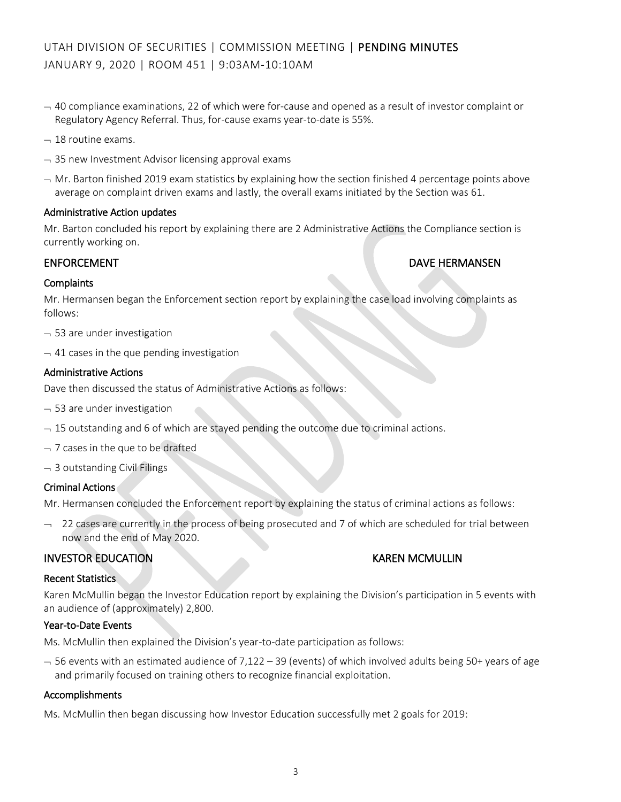- $-40$  compliance examinations, 22 of which were for-cause and opened as a result of investor complaint or Regulatory Agency Referral. Thus, for-cause exams year-to-date is 55%.
- $-18$  routine exams.
- $-$  35 new Investment Advisor licensing approval exams
- $-$  Mr. Barton finished 2019 exam statistics by explaining how the section finished 4 percentage points above average on complaint driven exams and lastly, the overall exams initiated by the Section was 61.

#### Administrative Action updates

Mr. Barton concluded his report by explaining there are 2 Administrative Actions the Compliance section is currently working on.

#### ENFORCEMENT DAVE HERMANSEN

#### **Complaints**

Mr. Hermansen began the Enforcement section report by explaining the case load involving complaints as follows:

- $-$  53 are under investigation
- $-41$  cases in the que pending investigation

#### Administrative Actions

Dave then discussed the status of Administrative Actions as follows:

- $-$  53 are under investigation
- $-15$  outstanding and 6 of which are stayed pending the outcome due to criminal actions.
- $-7$  cases in the que to be drafted
- $-$  3 outstanding Civil Filings

#### Criminal Actions

Mr. Hermansen concluded the Enforcement report by explaining the status of criminal actions as follows:

 $-$  22 cases are currently in the process of being prosecuted and 7 of which are scheduled for trial between now and the end of May 2020.

### INVESTOR EDUCATION KAREN MCMULLIN

#### Recent Statistics

Karen McMullin began the Investor Education report by explaining the Division's participation in 5 events with an audience of (approximately) 2,800.

#### Year-to-Date Events

Ms. McMullin then explained the Division's year-to-date participation as follows:

 $-$  56 events with an estimated audience of 7,122 – 39 (events) of which involved adults being 50+ years of age and primarily focused on training others to recognize financial exploitation.

#### Accomplishments

Ms. McMullin then began discussing how Investor Education successfully met 2 goals for 2019: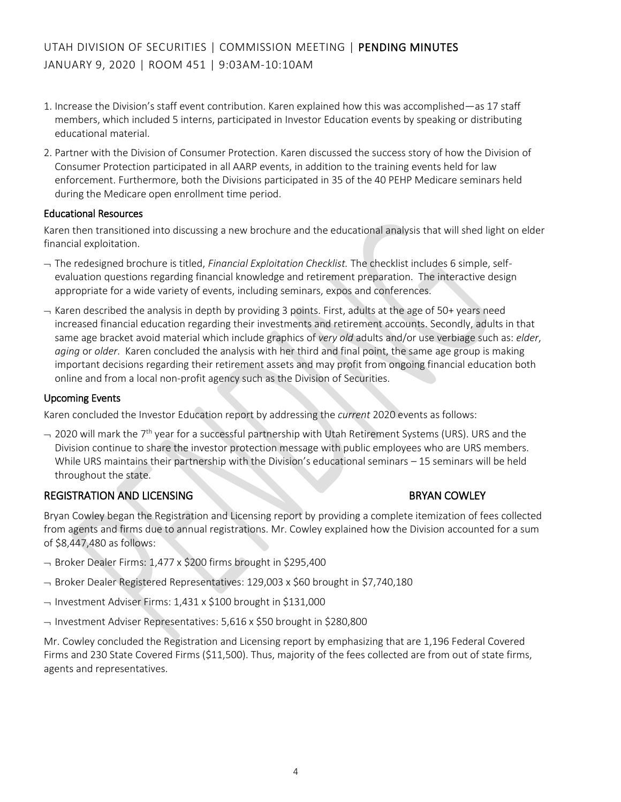- 1. Increase the Division's staff event contribution. Karen explained how this was accomplished—as 17 staff members, which included 5 interns, participated in Investor Education events by speaking or distributing educational material.
- 2. Partner with the Division of Consumer Protection. Karen discussed the success story of how the Division of Consumer Protection participated in all AARP events, in addition to the training events held for law enforcement. Furthermore, both the Divisions participated in 35 of the 40 PEHP Medicare seminars held during the Medicare open enrollment time period.

#### Educational Resources

Karen then transitioned into discussing a new brochure and the educational analysis that will shed light on elder financial exploitation.

- The redesigned brochure is titled, *Financial Exploitation Checklist.* The checklist includes 6 simple, selfevaluation questions regarding financial knowledge and retirement preparation. The interactive design appropriate for a wide variety of events, including seminars, expos and conferences.
- $-$  Karen described the analysis in depth by providing 3 points. First, adults at the age of 50+ years need increased financial education regarding their investments and retirement accounts. Secondly, adults in that same age bracket avoid material which include graphics of *very old* adults and/or use verbiage such as: *elder*, *aging* or *older*. Karen concluded the analysis with her third and final point, the same age group is making important decisions regarding their retirement assets and may profit from ongoing financial education both online and from a local non-profit agency such as the Division of Securities.

#### Upcoming Events

Karen concluded the Investor Education report by addressing the *current* 2020 events as follows:

 $-$  2020 will mark the 7<sup>th</sup> year for a successful partnership with Utah Retirement Systems (URS). URS and the Division continue to share the investor protection message with public employees who are URS members. While URS maintains their partnership with the Division's educational seminars – 15 seminars will be held throughout the state.

### REGISTRATION AND LICENSING BRYAN COWLEY

Bryan Cowley began the Registration and Licensing report by providing a complete itemization of fees collected from agents and firms due to annual registrations. Mr. Cowley explained how the Division accounted for a sum of \$8,447,480 as follows:

- $\rightarrow$  Broker Dealer Firms: 1,477 x \$200 firms brought in \$295,400
- Broker Dealer Registered Representatives: 129,003 x \$60 brought in \$7,740,180
- $\rightarrow$  Investment Adviser Firms: 1,431 x \$100 brought in \$131,000
- $-$  Investment Adviser Representatives: 5,616 x \$50 brought in \$280,800

Mr. Cowley concluded the Registration and Licensing report by emphasizing that are 1,196 Federal Covered Firms and 230 State Covered Firms (\$11,500). Thus, majority of the fees collected are from out of state firms, agents and representatives.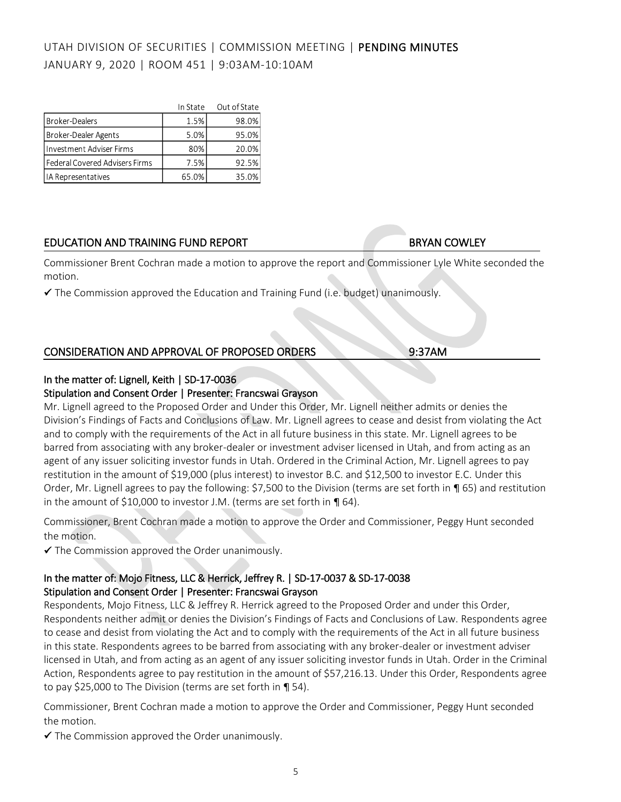|                                | In State | Out of State |
|--------------------------------|----------|--------------|
| <b>Broker-Dealers</b>          | 1.5%     | 98.0%        |
| Broker-Dealer Agents           | 5.0%     | 95.0%        |
| Investment Adviser Firms       | 80%      | 20.0%        |
| Federal Covered Advisers Firms | 7.5%     | 92.5%        |
| IA Representatives             | 65.0%    | 35.0%        |

# EDUCATION AND TRAINING FUND REPORT BRYAN COWLEY

Commissioner Brent Cochran made a motion to approve the report and Commissioner Lyle White seconded the motion.

 $\checkmark$  The Commission approved the Education and Training Fund (i.e. budget) unanimously.

# CONSIDERATION AND APPROVAL OF PROPOSED ORDERS 9:37AM

## In the matter of: Lignell, Keith | SD-17-0036

#### Stipulation and Consent Order | Presenter: Francswai Grayson

Mr. Lignell agreed to the Proposed Order and Under this Order, Mr. Lignell neither admits or denies the Division's Findings of Facts and Conclusions of Law. Mr. Lignell agrees to cease and desist from violating the Act and to comply with the requirements of the Act in all future business in this state. Mr. Lignell agrees to be barred from associating with any broker-dealer or investment adviser licensed in Utah, and from acting as an agent of any issuer soliciting investor funds in Utah. Ordered in the Criminal Action, Mr. Lignell agrees to pay restitution in the amount of \$19,000 (plus interest) to investor B.C. and \$12,500 to investor E.C. Under this Order, Mr. Lignell agrees to pay the following: \$7,500 to the Division (terms are set forth in ¶ 65) and restitution in the amount of \$10,000 to investor J.M. (terms are set forth in  $\P$  64).

Commissioner, Brent Cochran made a motion to approve the Order and Commissioner, Peggy Hunt seconded the motion.

✓ The Commission approved the Order unanimously.

## In the matter of: Mojo Fitness, LLC & Herrick, Jeffrey R. | SD-17-0037 & SD-17-0038 Stipulation and Consent Order | Presenter: Francswai Grayson

Respondents, Mojo Fitness, LLC & Jeffrey R. Herrick agreed to the Proposed Order and under this Order, Respondents neither admit or denies the Division's Findings of Facts and Conclusions of Law. Respondents agree to cease and desist from violating the Act and to comply with the requirements of the Act in all future business in this state. Respondents agrees to be barred from associating with any broker-dealer or investment adviser licensed in Utah, and from acting as an agent of any issuer soliciting investor funds in Utah. Order in the Criminal Action, Respondents agree to pay restitution in the amount of \$57,216.13. Under this Order, Respondents agree to pay \$25,000 to The Division (terms are set forth in ¶ 54).

Commissioner, Brent Cochran made a motion to approve the Order and Commissioner, Peggy Hunt seconded the motion.

 $\checkmark$  The Commission approved the Order unanimously.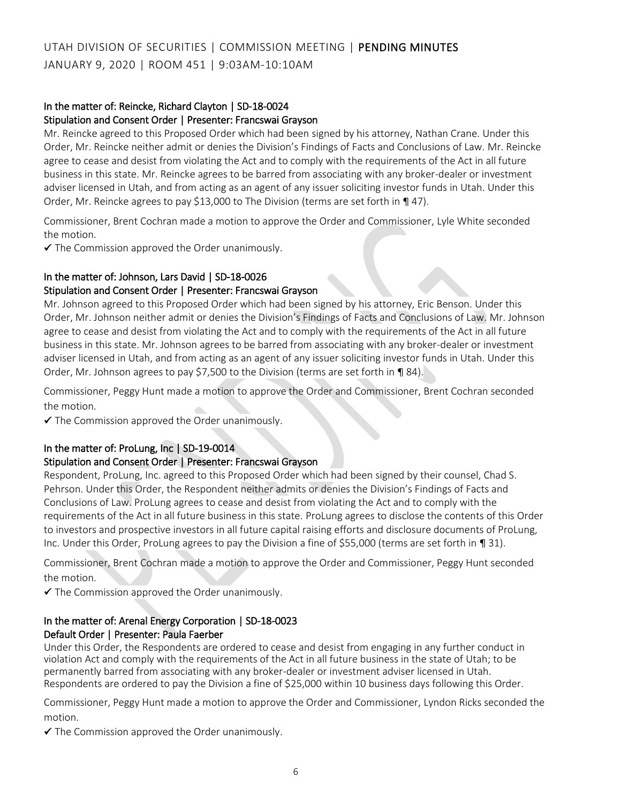#### In the matter of: Reincke, Richard Clayton | SD-18-0024 Stipulation and Consent Order | Presenter: Francswai Grayson

Mr. Reincke agreed to this Proposed Order which had been signed by his attorney, Nathan Crane. Under this Order, Mr. Reincke neither admit or denies the Division's Findings of Facts and Conclusions of Law. Mr. Reincke agree to cease and desist from violating the Act and to comply with the requirements of the Act in all future business in this state. Mr. Reincke agrees to be barred from associating with any broker-dealer or investment adviser licensed in Utah, and from acting as an agent of any issuer soliciting investor funds in Utah. Under this Order, Mr. Reincke agrees to pay \$13,000 to The Division (terms are set forth in  $\P$  47).

Commissioner, Brent Cochran made a motion to approve the Order and Commissioner, Lyle White seconded the motion.

✓ The Commission approved the Order unanimously.

# In the matter of: Johnson, Lars David | SD-18-0026

### Stipulation and Consent Order | Presenter: Francswai Grayson

Mr. Johnson agreed to this Proposed Order which had been signed by his attorney, Eric Benson. Under this Order, Mr. Johnson neither admit or denies the Division's Findings of Facts and Conclusions of Law. Mr. Johnson agree to cease and desist from violating the Act and to comply with the requirements of the Act in all future business in this state. Mr. Johnson agrees to be barred from associating with any broker-dealer or investment adviser licensed in Utah, and from acting as an agent of any issuer soliciting investor funds in Utah. Under this Order, Mr. Johnson agrees to pay \$7,500 to the Division (terms are set forth in ¶ 84).

Commissioner, Peggy Hunt made a motion to approve the Order and Commissioner, Brent Cochran seconded the motion.

✓ The Commission approved the Order unanimously.

### In the matter of: ProLung, Inc | SD-19-0014

### Stipulation and Consent Order | Presenter: Francswai Grayson

Respondent, ProLung, Inc. agreed to this Proposed Order which had been signed by their counsel, Chad S. Pehrson. Under this Order, the Respondent neither admits or denies the Division's Findings of Facts and Conclusions of Law. ProLung agrees to cease and desist from violating the Act and to comply with the requirements of the Act in all future business in this state. ProLung agrees to disclose the contents of this Order to investors and prospective investors in all future capital raising efforts and disclosure documents of ProLung, Inc. Under this Order, ProLung agrees to pay the Division a fine of \$55,000 (terms are set forth in ¶ 31).

Commissioner, Brent Cochran made a motion to approve the Order and Commissioner, Peggy Hunt seconded the motion.

 $\checkmark$  The Commission approved the Order unanimously.

## In the matter of: Arenal Energy Corporation | SD-18-0023 Default Order | Presenter: Paula Faerber

Under this Order, the Respondents are ordered to cease and desist from engaging in any further conduct in violation Act and comply with the requirements of the Act in all future business in the state of Utah; to be permanently barred from associating with any broker-dealer or investment adviser licensed in Utah. Respondents are ordered to pay the Division a fine of \$25,000 within 10 business days following this Order.

Commissioner, Peggy Hunt made a motion to approve the Order and Commissioner, Lyndon Ricks seconded the motion.

 $\checkmark$  The Commission approved the Order unanimously.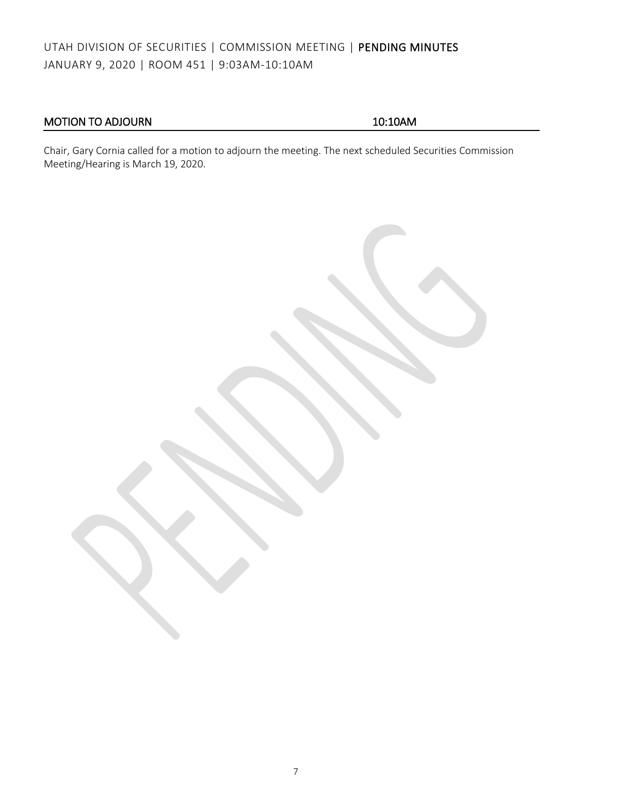# MOTION TO ADJOURN 10:10AM

Chair, Gary Cornia called for a motion to adjourn the meeting. The next scheduled Securities Commission Meeting/Hearing is March 19, 2020.